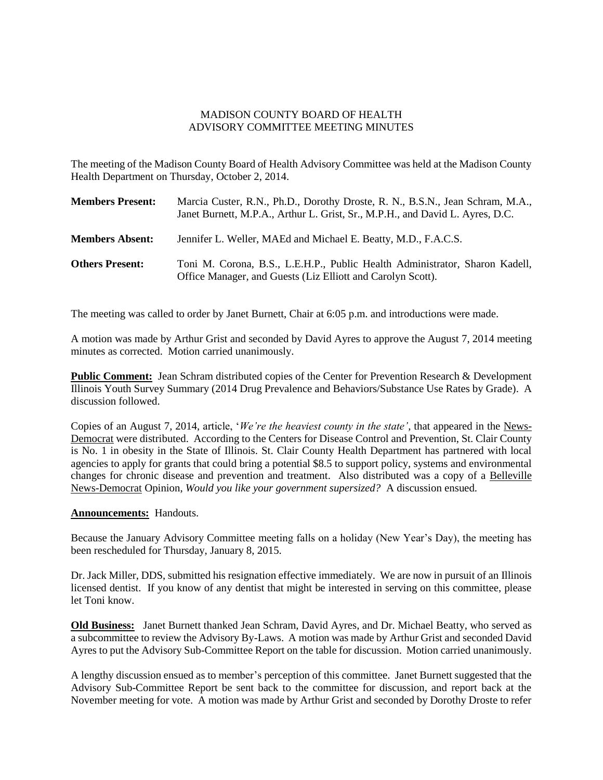## MADISON COUNTY BOARD OF HEALTH ADVISORY COMMITTEE MEETING MINUTES

The meeting of the Madison County Board of Health Advisory Committee was held at the Madison County Health Department on Thursday, October 2, 2014.

| <b>Members Present:</b> | Marcia Custer, R.N., Ph.D., Dorothy Droste, R. N., B.S.N., Jean Schram, M.A.,<br>Janet Burnett, M.P.A., Arthur L. Grist, Sr., M.P.H., and David L. Ayres, D.C. |
|-------------------------|----------------------------------------------------------------------------------------------------------------------------------------------------------------|
| <b>Members Absent:</b>  | Jennifer L. Weller, MAEd and Michael E. Beatty, M.D., F.A.C.S.                                                                                                 |
| <b>Others Present:</b>  | Toni M. Corona, B.S., L.E.H.P., Public Health Administrator, Sharon Kadell,<br>Office Manager, and Guests (Liz Elliott and Carolyn Scott).                     |

The meeting was called to order by Janet Burnett, Chair at 6:05 p.m. and introductions were made.

A motion was made by Arthur Grist and seconded by David Ayres to approve the August 7, 2014 meeting minutes as corrected. Motion carried unanimously.

**Public Comment:** Jean Schram distributed copies of the Center for Prevention Research & Development Illinois Youth Survey Summary (2014 Drug Prevalence and Behaviors/Substance Use Rates by Grade). A discussion followed.

Copies of an August 7, 2014, article, '*We're the heaviest county in the state'*, that appeared in the News-Democrat were distributed. According to the Centers for Disease Control and Prevention, St. Clair County is No. 1 in obesity in the State of Illinois. St. Clair County Health Department has partnered with local agencies to apply for grants that could bring a potential \$8.5 to support policy, systems and environmental changes for chronic disease and prevention and treatment. Also distributed was a copy of a Belleville News-Democrat Opinion, *Would you like your government supersized?* A discussion ensued.

## **Announcements:** Handouts.

Because the January Advisory Committee meeting falls on a holiday (New Year's Day), the meeting has been rescheduled for Thursday, January 8, 2015.

Dr. Jack Miller, DDS, submitted his resignation effective immediately. We are now in pursuit of an Illinois licensed dentist. If you know of any dentist that might be interested in serving on this committee, please let Toni know.

**Old Business:** Janet Burnett thanked Jean Schram, David Ayres, and Dr. Michael Beatty, who served as a subcommittee to review the Advisory By-Laws. A motion was made by Arthur Grist and seconded David Ayres to put the Advisory Sub-Committee Report on the table for discussion. Motion carried unanimously.

A lengthy discussion ensued as to member's perception of this committee. Janet Burnett suggested that the Advisory Sub-Committee Report be sent back to the committee for discussion, and report back at the November meeting for vote. A motion was made by Arthur Grist and seconded by Dorothy Droste to refer